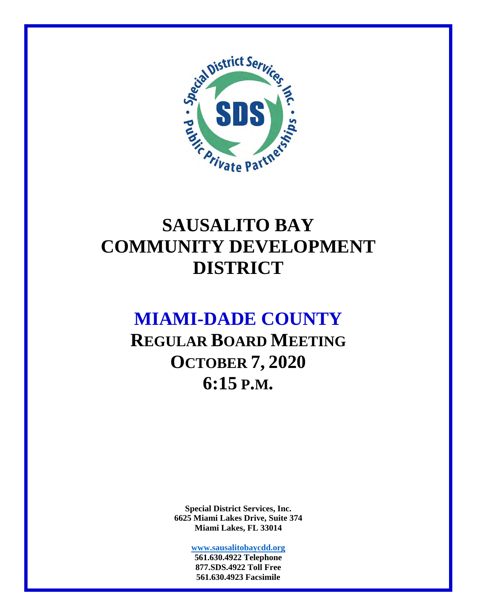

## **SAUSALITO BAY COMMUNITY DEVELOPMENT DISTRICT**

### **MIAMI-DADE COUNTY**

**REGULAR BOARD MEETING OCTOBER 7, 2020 6:15 P.M.** 

> **Special District Services, Inc. 6625 Miami Lakes Drive, Suite 374 Miami Lakes, FL 33014**

> > **www.sausalitobaycdd.org 561.630.4922 Telephone 877.SDS.4922 Toll Free 561.630.4923 Facsimile**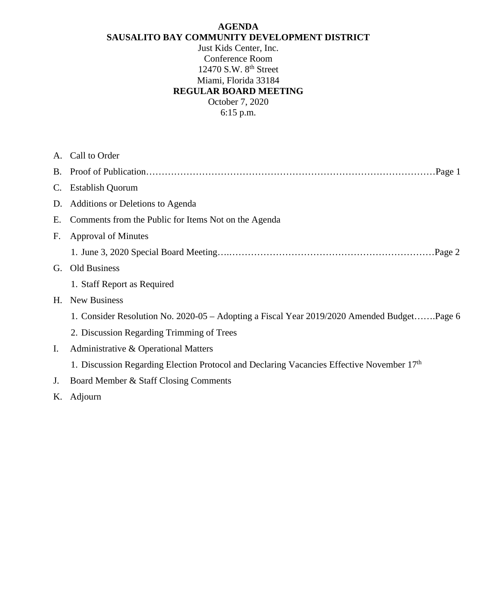#### **AGENDA SAUSALITO BAY COMMUNITY DEVELOPMENT DISTRICT**

Just Kids Center, Inc. Conference Room 12470 S.W. 8<sup>th</sup> Street Miami, Florida 33184 **REGULAR BOARD MEETING**  October 7, 2020

6:15 p.m.

|             | A. Call to Order                                                                            |
|-------------|---------------------------------------------------------------------------------------------|
|             |                                                                                             |
| $C_{\cdot}$ | <b>Establish Quorum</b>                                                                     |
| D.          | Additions or Deletions to Agenda                                                            |
| Е.          | Comments from the Public for Items Not on the Agenda                                        |
| $F_{\cdot}$ | <b>Approval of Minutes</b>                                                                  |
|             |                                                                                             |
| G.          | Old Business                                                                                |
|             | 1. Staff Report as Required                                                                 |
| H.          | <b>New Business</b>                                                                         |
|             | 1. Consider Resolution No. 2020-05 – Adopting a Fiscal Year 2019/2020 Amended BudgetPage 6  |
|             | 2. Discussion Regarding Trimming of Trees                                                   |
| $I_{\cdot}$ | Administrative & Operational Matters                                                        |
|             | 1. Discussion Regarding Election Protocol and Declaring Vacancies Effective November $17th$ |
| J.          | Board Member & Staff Closing Comments                                                       |
|             | K. Adjourn                                                                                  |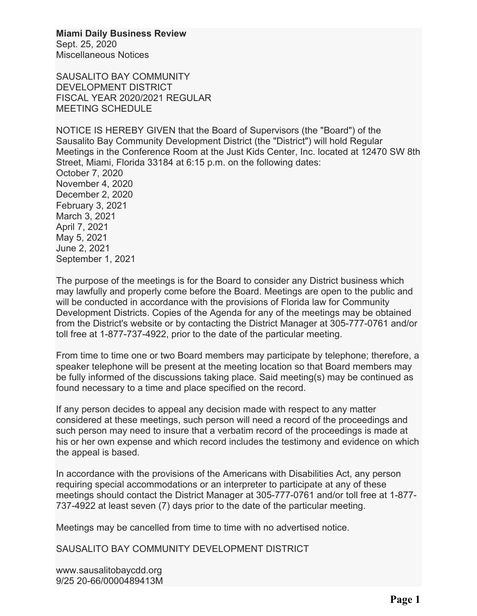**Miami Daily Business Review**

Sept. 25, 2020 Miscellaneous Notices

SAUSALITO BAY COMMUNITY DEVELOPMENT DISTRICT FISCAL YEAR 2020/2021 REGULAR MEETING SCHEDULE

NOTICE IS HEREBY GIVEN that the Board of Supervisors (the "Board") of the Sausalito Bay Community Development District (the "District") will hold Regular Meetings in the Conference Room at the Just Kids Center, Inc. located at 12470 SW 8th Street, Miami, Florida 33184 at 6:15 p.m. on the following dates: October 7, 2020 November 4, 2020 December 2, 2020 February 3, 2021 March 3, 2021 April 7, 2021 May 5, 2021 June 2, 2021 September 1, 2021

The purpose of the meetings is for the Board to consider any District business which may lawfully and properly come before the Board. Meetings are open to the public and will be conducted in accordance with the provisions of Florida law for Community Development Districts. Copies of the Agenda for any of the meetings may be obtained from the District's website or by contacting the District Manager at 305-777-0761 and/or toll free at 1-877-737-4922, prior to the date of the particular meeting.

From time to time one or two Board members may participate by telephone; therefore, a speaker telephone will be present at the meeting location so that Board members may be fully informed of the discussions taking place. Said meeting(s) may be continued as found necessary to a time and place specified on the record.

If any person decides to appeal any decision made with respect to any matter considered at these meetings, such person will need a record of the proceedings and such person may need to insure that a verbatim record of the proceedings is made at his or her own expense and which record includes the testimony and evidence on which the appeal is based.

In accordance with the provisions of the Americans with Disabilities Act, any person requiring special accommodations or an interpreter to participate at any of these meetings should contact the District Manager at 305-777-0761 and/or toll free at 1-877- 737-4922 at least seven (7) days prior to the date of the particular meeting.

Meetings may be cancelled from time to time with no advertised notice.

SAUSALITO BAY COMMUNITY DEVELOPMENT DISTRICT

www.sausalitobaycdd.org 9/25 20-66/0000489413M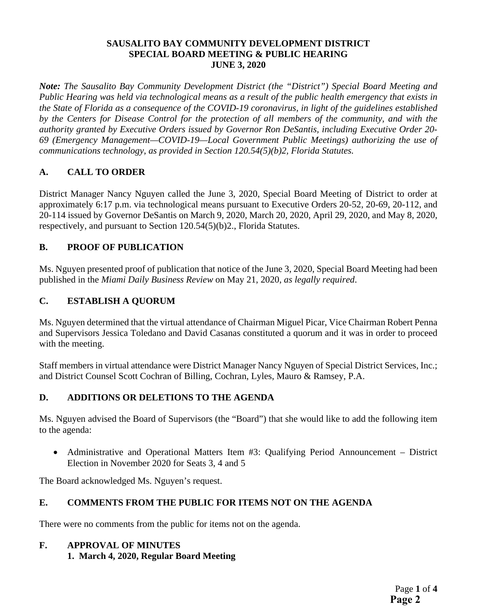#### **SAUSALITO BAY COMMUNITY DEVELOPMENT DISTRICT SPECIAL BOARD MEETING & PUBLIC HEARING JUNE 3, 2020**

*Note: The Sausalito Bay Community Development District (the "District") Special Board Meeting and Public Hearing was held via technological means as a result of the public health emergency that exists in the State of Florida as a consequence of the COVID-19 coronavirus, in light of the guidelines established by the Centers for Disease Control for the protection of all members of the community, and with the authority granted by Executive Orders issued by Governor Ron DeSantis, including Executive Order 20- 69 (Emergency Management—COVID-19—Local Government Public Meetings) authorizing the use of communications technology, as provided in Section 120.54(5)(b)2, Florida Statutes.* 

#### **A. CALL TO ORDER**

District Manager Nancy Nguyen called the June 3, 2020, Special Board Meeting of District to order at approximately 6:17 p.m. via technological means pursuant to Executive Orders 20-52, 20-69, 20-112, and 20-114 issued by Governor DeSantis on March 9, 2020, March 20, 2020, April 29, 2020, and May 8, 2020, respectively, and pursuant to Section 120.54(5)(b)2., Florida Statutes.

#### **B. PROOF OF PUBLICATION**

Ms. Nguyen presented proof of publication that notice of the June 3, 2020, Special Board Meeting had been published in the *Miami Daily Business Review* on May 21, 2020, *as legally required*.

#### **C. ESTABLISH A QUORUM**

Ms. Nguyen determined that the virtual attendance of Chairman Miguel Picar, Vice Chairman Robert Penna and Supervisors Jessica Toledano and David Casanas constituted a quorum and it was in order to proceed with the meeting.

Staff members in virtual attendance were District Manager Nancy Nguyen of Special District Services, Inc.; and District Counsel Scott Cochran of Billing, Cochran, Lyles, Mauro & Ramsey, P.A.

#### **D. ADDITIONS OR DELETIONS TO THE AGENDA**

Ms. Nguyen advised the Board of Supervisors (the "Board") that she would like to add the following item to the agenda:

 Administrative and Operational Matters Item #3: Qualifying Period Announcement – District Election in November 2020 for Seats 3, 4 and 5

The Board acknowledged Ms. Nguyen's request.

### **E. COMMENTS FROM THE PUBLIC FOR ITEMS NOT ON THE AGENDA**

There were no comments from the public for items not on the agenda.

### **F. APPROVAL OF MINUTES**

 **1. March 4, 2020, Regular Board Meeting**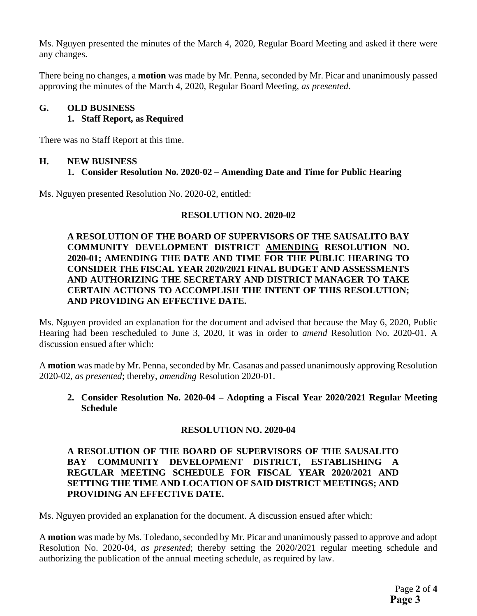Ms. Nguyen presented the minutes of the March 4, 2020, Regular Board Meeting and asked if there were any changes.

There being no changes, a **motion** was made by Mr. Penna, seconded by Mr. Picar and unanimously passed approving the minutes of the March 4, 2020, Regular Board Meeting, *as presented*.

#### **G. OLD BUSINESS**

#### **1. Staff Report, as Required**

There was no Staff Report at this time.

#### **H. NEW BUSINESS**

#### **1. Consider Resolution No. 2020-02 – Amending Date and Time for Public Hearing**

Ms. Nguyen presented Resolution No. 2020-02, entitled:

#### **RESOLUTION NO. 2020-02**

#### **A RESOLUTION OF THE BOARD OF SUPERVISORS OF THE SAUSALITO BAY COMMUNITY DEVELOPMENT DISTRICT AMENDING RESOLUTION NO. 2020-01; AMENDING THE DATE AND TIME FOR THE PUBLIC HEARING TO CONSIDER THE FISCAL YEAR 2020/2021 FINAL BUDGET AND ASSESSMENTS AND AUTHORIZING THE SECRETARY AND DISTRICT MANAGER TO TAKE CERTAIN ACTIONS TO ACCOMPLISH THE INTENT OF THIS RESOLUTION; AND PROVIDING AN EFFECTIVE DATE.**

Ms. Nguyen provided an explanation for the document and advised that because the May 6, 2020, Public Hearing had been rescheduled to June 3, 2020, it was in order to *amend* Resolution No. 2020-01. A discussion ensued after which:

A **motion** was made by Mr. Penna, seconded by Mr. Casanas and passed unanimously approving Resolution 2020-02, *as presented*; thereby, *amending* Resolution 2020-01.

**2. Consider Resolution No. 2020-04 – Adopting a Fiscal Year 2020/2021 Regular Meeting Schedule** 

#### **RESOLUTION NO. 2020-04**

#### **A RESOLUTION OF THE BOARD OF SUPERVISORS OF THE SAUSALITO BAY COMMUNITY DEVELOPMENT DISTRICT, ESTABLISHING A REGULAR MEETING SCHEDULE FOR FISCAL YEAR 2020/2021 AND SETTING THE TIME AND LOCATION OF SAID DISTRICT MEETINGS; AND PROVIDING AN EFFECTIVE DATE.**

Ms. Nguyen provided an explanation for the document. A discussion ensued after which:

A **motion** was made by Ms. Toledano, seconded by Mr. Picar and unanimously passed to approve and adopt Resolution No. 2020-04, *as presented*; thereby setting the 2020/2021 regular meeting schedule and authorizing the publication of the annual meeting schedule, as required by law.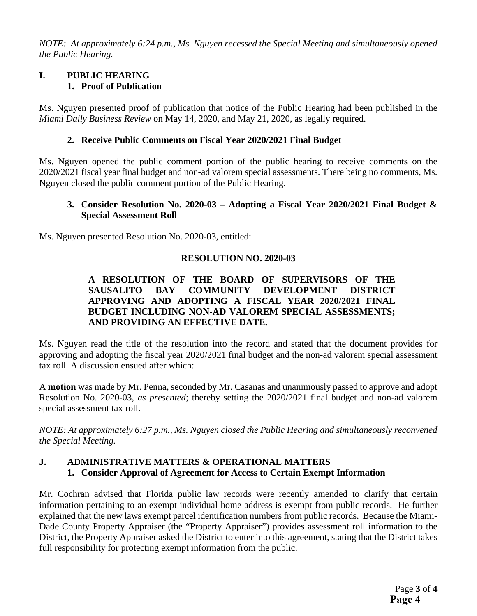*NOTE: At approximately 6:24 p.m., Ms. Nguyen recessed the Special Meeting and simultaneously opened the Public Hearing.* 

#### **I. PUBLIC HEARING 1. Proof of Publication**

Ms. Nguyen presented proof of publication that notice of the Public Hearing had been published in the *Miami Daily Business Review* on May 14, 2020, and May 21, 2020, as legally required.

#### **2. Receive Public Comments on Fiscal Year 2020/2021 Final Budget**

Ms. Nguyen opened the public comment portion of the public hearing to receive comments on the 2020/2021 fiscal year final budget and non-ad valorem special assessments. There being no comments, Ms. Nguyen closed the public comment portion of the Public Hearing.

#### **3. Consider Resolution No. 2020-03 – Adopting a Fiscal Year 2020/2021 Final Budget & Special Assessment Roll**

Ms. Nguyen presented Resolution No. 2020-03, entitled:

#### **RESOLUTION NO. 2020-03**

#### **A RESOLUTION OF THE BOARD OF SUPERVISORS OF THE SAUSALITO BAY COMMUNITY DEVELOPMENT DISTRICT APPROVING AND ADOPTING A FISCAL YEAR 2020/2021 FINAL BUDGET INCLUDING NON-AD VALOREM SPECIAL ASSESSMENTS; AND PROVIDING AN EFFECTIVE DATE.**

Ms. Nguyen read the title of the resolution into the record and stated that the document provides for approving and adopting the fiscal year 2020/2021 final budget and the non-ad valorem special assessment tax roll. A discussion ensued after which:

A **motion** was made by Mr. Penna, seconded by Mr. Casanas and unanimously passed to approve and adopt Resolution No. 2020-03, *as presented*; thereby setting the 2020/2021 final budget and non-ad valorem special assessment tax roll.

*NOTE: At approximately 6:27 p.m., Ms. Nguyen closed the Public Hearing and simultaneously reconvened the Special Meeting.* 

#### **J. ADMINISTRATIVE MATTERS & OPERATIONAL MATTERS 1. Consider Approval of Agreement for Access to Certain Exempt Information**

Mr. Cochran advised that Florida public law records were recently amended to clarify that certain information pertaining to an exempt individual home address is exempt from public records. He further explained that the new laws exempt parcel identification numbers from public records. Because the Miami-Dade County Property Appraiser (the "Property Appraiser") provides assessment roll information to the District, the Property Appraiser asked the District to enter into this agreement, stating that the District takes full responsibility for protecting exempt information from the public.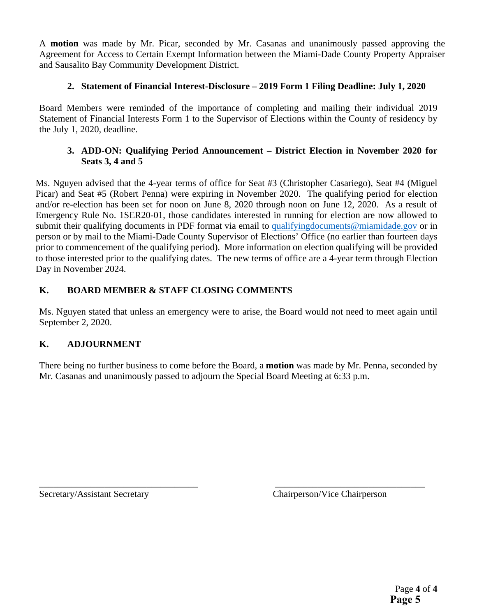A **motion** was made by Mr. Picar, seconded by Mr. Casanas and unanimously passed approving the Agreement for Access to Certain Exempt Information between the Miami-Dade County Property Appraiser and Sausalito Bay Community Development District.

#### **2. Statement of Financial Interest-Disclosure – 2019 Form 1 Filing Deadline: July 1, 2020**

Board Members were reminded of the importance of completing and mailing their individual 2019 Statement of Financial Interests Form 1 to the Supervisor of Elections within the County of residency by the July 1, 2020, deadline.

#### **3. ADD-ON: Qualifying Period Announcement – District Election in November 2020 for Seats 3, 4 and 5**

Ms. Nguyen advised that the 4-year terms of office for Seat #3 (Christopher Casariego), Seat #4 (Miguel Picar) and Seat #5 (Robert Penna) were expiring in November 2020. The qualifying period for election and/or re-election has been set for noon on June 8, 2020 through noon on June 12, 2020. As a result of Emergency Rule No. 1SER20-01, those candidates interested in running for election are now allowed to submit their qualifying documents in PDF format via email to qualifyingdocuments@miamidade.gov or in person or by mail to the Miami-Dade County Supervisor of Elections' Office (no earlier than fourteen days prior to commencement of the qualifying period). More information on election qualifying will be provided to those interested prior to the qualifying dates. The new terms of office are a 4-year term through Election Day in November 2024.

#### **K. BOARD MEMBER & STAFF CLOSING COMMENTS**

Ms. Nguyen stated that unless an emergency were to arise, the Board would not need to meet again until September 2, 2020.

### **K. ADJOURNMENT**

There being no further business to come before the Board, a **motion** was made by Mr. Penna, seconded by Mr. Casanas and unanimously passed to adjourn the Special Board Meeting at 6:33 p.m.

\_\_\_\_\_\_\_\_\_\_\_\_\_\_\_\_\_\_\_\_\_\_\_\_\_\_\_\_\_\_\_\_\_\_ \_\_\_\_\_\_\_\_\_\_\_\_\_\_\_\_\_\_\_\_\_\_\_\_\_\_\_\_\_\_\_\_

Secretary/Assistant Secretary Chairperson/Vice Chairperson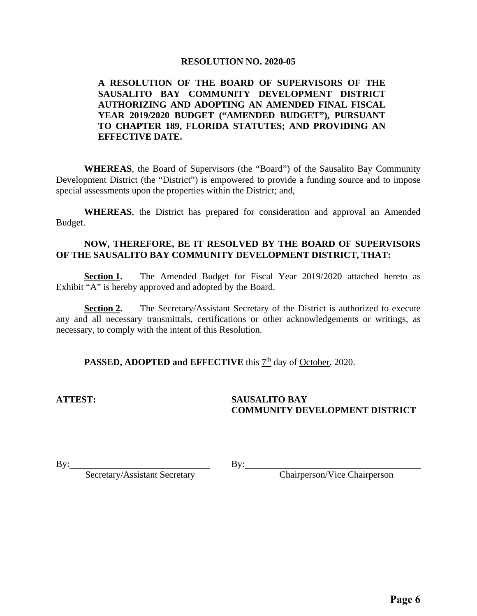#### **RESOLUTION NO. 2020-05**

#### **A RESOLUTION OF THE BOARD OF SUPERVISORS OF THE SAUSALITO BAY COMMUNITY DEVELOPMENT DISTRICT AUTHORIZING AND ADOPTING AN AMENDED FINAL FISCAL YEAR 2019/2020 BUDGET ("AMENDED BUDGET"), PURSUANT TO CHAPTER 189, FLORIDA STATUTES; AND PROVIDING AN EFFECTIVE DATE.**

 **WHEREAS**, the Board of Supervisors (the "Board") of the Sausalito Bay Community Development District (the "District") is empowered to provide a funding source and to impose special assessments upon the properties within the District; and,

**WHEREAS**, the District has prepared for consideration and approval an Amended Budget.

#### **NOW, THEREFORE, BE IT RESOLVED BY THE BOARD OF SUPERVISORS OF THE SAUSALITO BAY COMMUNITY DEVELOPMENT DISTRICT, THAT:**

**Section 1.** The Amended Budget for Fiscal Year 2019/2020 attached hereto as Exhibit "A" is hereby approved and adopted by the Board.

**Section 2.** The Secretary/Assistant Secretary of the District is authorized to execute any and all necessary transmittals, certifications or other acknowledgements or writings, as necessary, to comply with the intent of this Resolution.

**PASSED, ADOPTED and EFFECTIVE** this  $7<sup>th</sup>$  day of October, 2020.

#### **ATTEST: SAUSALITO BAY COMMUNITY DEVELOPMENT DISTRICT**

By: Chairperson/Vice Chairperson

By: Secretary/Assistant Secretary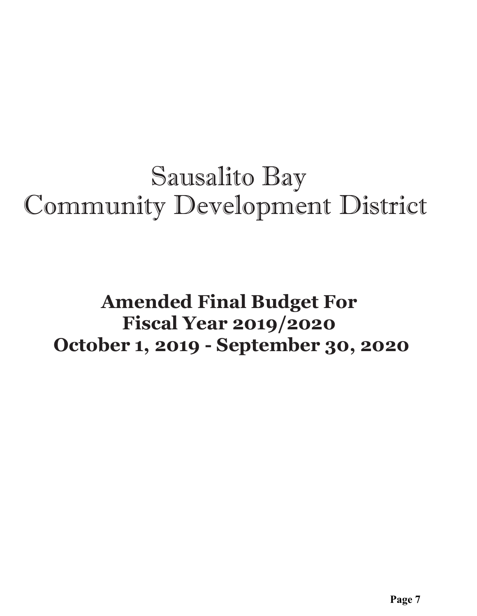# Sausalito Bay Community Development District

## **Amended Final Budget For Fiscal Year 2019/2020 October 1, 2019 - September 30, 2020**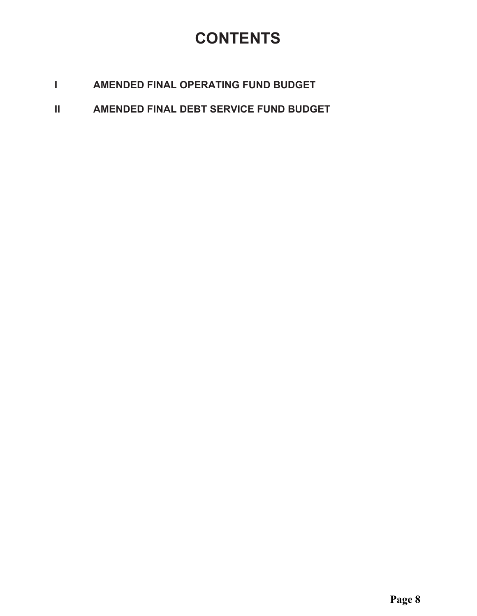### **CONTENTS**

- $\mathbf{L}$ AMENDED FINAL OPERATING FUND BUDGET
- $\mathbf{II}$ AMENDED FINAL DEBT SERVICE FUND BUDGET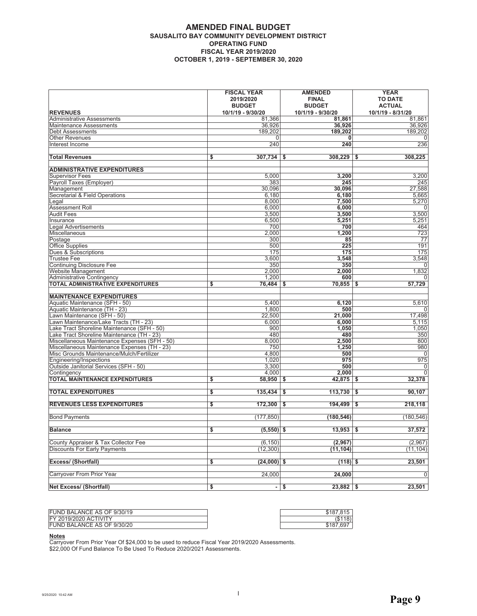#### **AMENDED FINAL BUDGET** SAUSALITO BAY COMMUNITY DEVELOPMENT DISTRICT **OPERATING FUND FISCAL YEAR 2019/2020 OCTOBER 1, 2019 - SEPTEMBER 30, 2020**

|                                               | <b>FISCAL YEAR</b><br>2019/2020<br><b>BUDGET</b> | <b>AMENDED</b><br><b>FINAL</b><br><b>BUDGET</b> | <b>YEAR</b><br><b>TO DATE</b><br><b>ACTUAL</b> |
|-----------------------------------------------|--------------------------------------------------|-------------------------------------------------|------------------------------------------------|
| <b>REVENUES</b>                               | 10/1/19 - 9/30/20                                | 10/1/19 - 9/30/20                               | 10/1/19 - 8/31/20                              |
| <b>Administrative Assessments</b>             | 81,366                                           | 81.861                                          | 81.861                                         |
| <b>Maintenance Assessments</b>                | 36,926                                           | 36,926                                          | 36,926                                         |
| <b>Debt Assessments</b>                       | 189,202                                          | 189,202                                         | 189,202                                        |
| <b>Other Revenues</b>                         | 0                                                | 0                                               | $\Omega$                                       |
| Interest Income                               | 240                                              | 240                                             | 236                                            |
| <b>Total Revenues</b>                         | 307,734<br>\$                                    | $308,229$ \$<br>Ŝ.                              | 308,225                                        |
| <b>ADMINISTRATIVE EXPENDITURES</b>            |                                                  |                                                 |                                                |
| <b>Supervisor Fees</b>                        | 5,000                                            | 3,200                                           | 3,200                                          |
| Payroll Taxes (Employer)                      | 383                                              | 245                                             | 245                                            |
| Management                                    | 30,096                                           | 30,096                                          | 27,588                                         |
| Secretarial & Field Operations                | 6,180                                            | 6,180                                           | 5,665                                          |
| Legal                                         | 8,000                                            | 7,500                                           | 5,270                                          |
| Assessment Roll                               | 6,000                                            | 6,000                                           | 0                                              |
| <b>Audit Fees</b>                             | 3,500                                            | 3,500                                           | 3,500                                          |
| Insurance                                     | 6,500                                            | 5,251                                           | 5,251                                          |
| <b>Legal Advertisements</b>                   | 700                                              | 700                                             | 464                                            |
| Miscellaneous                                 | 2,000                                            | 1,200                                           | 723                                            |
| Postage                                       | 300                                              | 85                                              | 77                                             |
| <b>Office Supplies</b>                        | 500                                              | 225                                             | 191                                            |
| Dues & Subscriptions                          | 175                                              | 175                                             | 175                                            |
| <b>Trustee Fee</b>                            | 3,600                                            | 3,548                                           | 3,548                                          |
| <b>Continuing Disclosure Fee</b>              | 350                                              | 350                                             | $\mathbf 0$                                    |
| Website Management                            | 2,000                                            | 2,000                                           | 1,832                                          |
| <b>Administrative Contingency</b>             | 1,200                                            | 600                                             | U                                              |
| <b>TOTAL ADMINISTRATIVE EXPENDITURES</b>      | \$<br>76,484                                     | $70,855$ \$<br>\$                               | 57,729                                         |
| <b>MAINTENANCE EXPENDITURES</b>               |                                                  |                                                 |                                                |
| Aquatic Maintenance (SFH - 50)                | 5,400                                            | 6,120                                           | 5,610                                          |
| Aquatic Maintenance (TH - 23)                 | 1,800                                            | 500                                             |                                                |
| Lawn Maintenance (SFH - 50)                   | 22,500                                           | 21,000                                          | 17,498                                         |
| Lawn Maintenance/Lake Tracts (TH - 23)        | 6,000                                            | 6,000                                           | 5,115                                          |
| Lake Tract Shoreline Maintenance (SFH - 50)   | 900                                              | 1,050                                           | 1,050                                          |
| Lake Tract Shoreline Maintenance (TH - 23)    | 480                                              | 480                                             | 350                                            |
| Miscellaneous Maintenance Expenses (SFH - 50) | 8,000                                            | 2,500                                           | 800                                            |
| Miscellaneous Maintenance Expenses (TH - 23)  | 750                                              | 1,250                                           | 980                                            |
| Misc Grounds Maintenance/Mulch/Fertilizer     | 4.800                                            | 500                                             | $\mathbf 0$                                    |
| <b>Engineering/Inspections</b>                | 1,020                                            | 975                                             | 975                                            |
| Outside Janitorial Services (SFH - 50)        | 3,300                                            | 500                                             | $\mathbf 0$                                    |
| Contingency                                   | 4.000                                            | 2.000                                           | $\overline{0}$                                 |
| <b>TOTAL MAINTENANCE EXPENDITURES</b>         | \$<br>58,950                                     | 42,875 \$<br>\$                                 | 32,378                                         |
| <b>TOTAL EXPENDITURES</b>                     | 135,434<br>\$                                    | 113,730<br>-S                                   | 90,107<br>-\$                                  |
| <b>REVENUES LESS EXPENDITURES</b>             | \$<br>172,300                                    | 194,499<br>-S                                   | 218,118<br>S.                                  |
| <b>Bond Payments</b>                          | (177, 850)                                       | (180, 546)                                      | (180, 546)                                     |
| <b>Balance</b>                                | $(5,550)$ \$<br>\$                               | $13,953$ \$                                     | 37,572                                         |
|                                               |                                                  |                                                 |                                                |
| County Appraiser & Tax Collector Fee          | (6, 150)                                         | (2,967)                                         | (2,967)                                        |
| <b>Discounts For Early Payments</b>           | (12, 300)                                        | (11,104)                                        | (11, 104)                                      |
| Excess/ (Shortfall)                           | (24,000)<br>\$                                   | $(118)$ \$<br>\$                                | 23,501                                         |
| Carryover From Prior Year                     | 24,000                                           | 24,000                                          | $\mathbf 0$                                    |
| <b>Net Excess/ (Shortfall)</b>                | \$<br>$\blacksquare$                             | \$<br>$23,882$ \$                               | 23,501                                         |

| FUND BALANCE AS OF 9/30/19   | \$187.815 |
|------------------------------|-----------|
| <b>FY 2019/2020 ACTIVITY</b> | 18)       |
| FUND BALANCE AS OF 9/30/20   | \$187.697 |

Notes<br>Carryover From Prior Year Of \$24,000 to be used to reduce Fiscal Year 2019/2020 Assessments.<br>\$22,000 Of Fund Balance To Be Used To Reduce 2020/2021 Assessments.